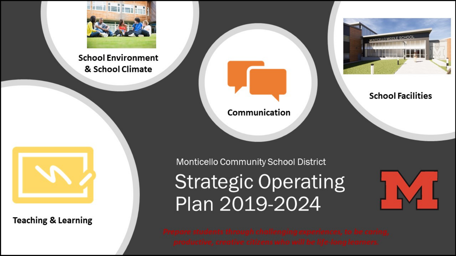

**School Environment** & School Climate



#### **School Facilities**





**Teaching & Learning** 

Monticello Community School District

**Strategic Operating** Plan 2019-2024

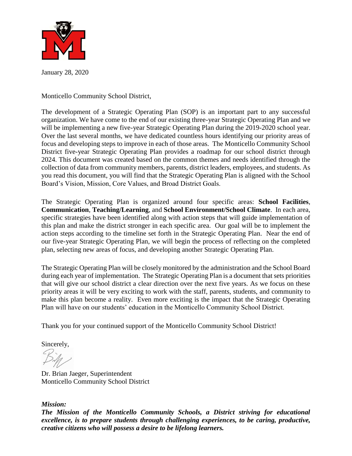

January 28, 2020

Monticello Community School District,

The development of a Strategic Operating Plan (SOP) is an important part to any successful organization. We have come to the end of our existing three-year Strategic Operating Plan and we will be implementing a new five-year Strategic Operating Plan during the 2019-2020 school year. Over the last several months, we have dedicated countless hours identifying our priority areas of focus and developing steps to improve in each of those areas. The Monticello Community School District five-year Strategic Operating Plan provides a roadmap for our school district through 2024. This document was created based on the common themes and needs identified through the collection of data from community members, parents, district leaders, employees, and students. As you read this document, you will find that the Strategic Operating Plan is aligned with the School Board's Vision, Mission, Core Values, and Broad District Goals.

The Strategic Operating Plan is organized around four specific areas: **School Facilities**, **Communication**, **Teaching/Learning**, and **School Environment/School Climate**. In each area, specific strategies have been identified along with action steps that will guide implementation of this plan and make the district stronger in each specific area. Our goal will be to implement the action steps according to the timeline set forth in the Strategic Operating Plan. Near the end of our five-year Strategic Operating Plan, we will begin the process of reflecting on the completed plan, selecting new areas of focus, and developing another Strategic Operating Plan.

The Strategic Operating Plan will be closely monitored by the administration and the School Board during each year of implementation. The Strategic Operating Plan is a document that sets priorities that will give our school district a clear direction over the next five years. As we focus on these priority areas it will be very exciting to work with the staff, parents, students, and community to make this plan become a reality. Even more exciting is the impact that the Strategic Operating Plan will have on our students' education in the Monticello Community School District.

Thank you for your continued support of the Monticello Community School District!

Sincerely,

Dr. Brian Jaeger, Superintendent Monticello Community School District

#### *Mission:*

*The Mission of the Monticello Community Schools, a District striving for educational excellence, is to prepare students through challenging experiences, to be caring, productive, creative citizens who will possess a desire to be lifelong learners.*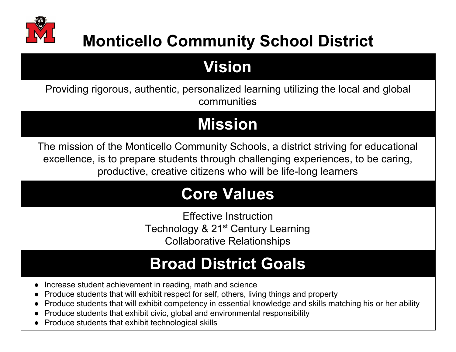

### **Monticello Community School District**

### **Vision**

Providing rigorous, authentic, personalized learning utilizing the local and global communities

## **Mission**

The mission of the Monticello Community Schools, a district striving for educational excellence, is to prepare students through challenging experiences, to be caring, productive, creative citizens who will be life-long learners

### **Core Values**

Effective Instruction Technology & 21<sup>st</sup> Century Learning Collaborative Relationships

### **Broad District Goals**

- Increase student achievement in reading, math and science
- Produce students that will exhibit respect for self, others, living things and property
- Produce students that will exhibit competency in essential knowledge and skills matching his or her ability
- Produce students that exhibit civic, global and environmental responsibility
- Produce students that exhibit technological skills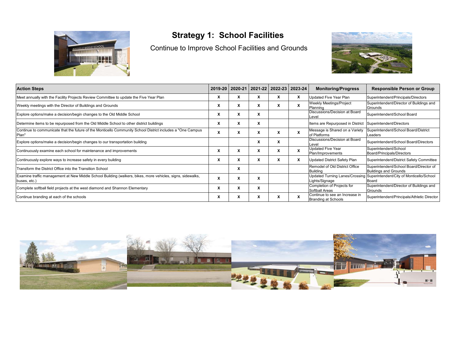

#### **Strategy 1: School Facilities**

Continue to Improve School Facilities and Grounds



| <b>Action Steps</b>                                                                                                        |                      | 2019-20   2020-21   2021-22   2022-23   2023-24 |                      |   |   | <b>Monitoring/Progress</b>                                | <b>Responsible Person or Group</b>                                               |
|----------------------------------------------------------------------------------------------------------------------------|----------------------|-------------------------------------------------|----------------------|---|---|-----------------------------------------------------------|----------------------------------------------------------------------------------|
| Meet annually with the Facility Projects Review Committee to update the Five Year Plan                                     |                      |                                                 |                      |   |   | <b>Updated Five Year Plan</b>                             | Superintendent/Principals/Directors                                              |
| Weekly meetings with the Director of Buildings and Grounds                                                                 |                      | x                                               |                      | x |   | <b>Weekly Meetings/Project</b><br><b>Planning</b>         | Superintendent/Director of Buildings and<br>Grounds                              |
| Explore options/make a decision/begin changes to the Old Middle School                                                     |                      | л                                               |                      |   |   | Discussions/Decision at Board<br>Level                    | Superintendent/School Board                                                      |
| Determine items to be repurposed from the Old Middle School to other district buildings                                    | Λ                    | A                                               | $\ddot{\phantom{0}}$ |   |   | Items are Repurposed in District Superintendent/Directors |                                                                                  |
| Continue to communicate that the future of the Monticello Community School District includes a "One Campus"<br>Plan"       | $\ddot{\phantom{0}}$ | $\mathbf{x}$                                    | ᄉ                    | x |   | Message is Shared on a Variety<br>of Platforms            | Superintendent/School Board/District<br>Leaders                                  |
| Explore options/make a decision/begin changes to our transportation building                                               |                      |                                                 | ᄉ                    | x |   | Discussions/Decision at Board<br>Level                    | Superintendent/School Board/Directors                                            |
| Continuously examine each school for maintenance and improvements                                                          | ́                    | v                                               | $\ddot{\phantom{0}}$ | x |   | <b>Updated Five Year</b><br>Plan/Improvements             | Superintendent/School<br>Board/Principals/Directors                              |
| Continuously explore ways to increase safety in every building                                                             |                      | л                                               |                      | л | x | <b>Updated District Safety Plan</b>                       | Superintendent/District Safety Committee                                         |
| Transform the District Office into the Transition School                                                                   |                      | x                                               |                      |   |   | Remodel of Old District Office<br><b>Building</b>         | Superintendent/School Board/Director of<br><b>Buildings and Grounds</b>          |
| Examine traffic management at New Middle School Building (walkers, bikes, more vehicles, signs, sidewalks,<br>buses, etc.) |                      | л                                               | A                    |   |   | Lights/Signage                                            | Updated Turning Lanes/Crossing Superintendent/City of Monticello/School<br>Board |
| Complete softball field projects at the west diamond and Shannon Elementary                                                | ́                    | л                                               | $\ddot{\phantom{0}}$ |   |   | Completion of Projects for<br>Softball Areas              | Superintendent/Director of Buildings and<br>Grounds                              |
| Continue branding at each of the schools                                                                                   | ᄉ                    | x                                               | ᄉ                    | x |   | Continue to see an Increase in<br>Branding at Schools     | Superintendent/Principals/Athletic Director                                      |

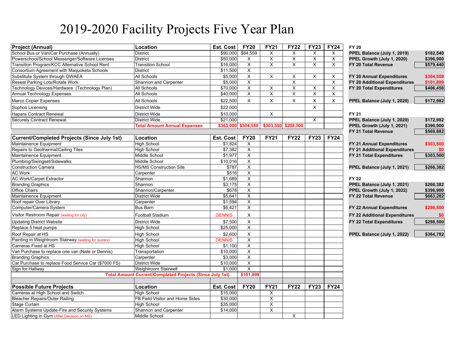### 2019-2020 Facility Projects Five Year Plan

| <b>Project (Annual)</b>                              | Location                                                        | Est. Cost        | <b>FY20</b>             | <b>FY21</b>             | <b>FY22</b>             | <b>FY23</b>             | <b>FY24</b> | <b>FY 20</b>                  |           |
|------------------------------------------------------|-----------------------------------------------------------------|------------------|-------------------------|-------------------------|-------------------------|-------------------------|-------------|-------------------------------|-----------|
| School Bus or Van/Car Purchase (Annually)            | <b>District</b>                                                 | \$90,000         | \$84,559                | $\times$                | X                       | $\times$                | $\times$    | PPEL Balance (July 1, 2019)   | \$182,540 |
| Powerschool/School Messenger/Software Licenses       | District                                                        | \$50,000         | X                       | X                       | X                       | X                       | X           | PPEL Growth (July 1, 2020)    | \$396,900 |
| Transition Program/KCC Alternative School Rent       | <b>Transition School</b>                                        | \$16,000         | $\overline{\mathsf{x}}$ | $\overline{\mathsf{x}}$ | $\overline{\mathsf{x}}$ | $\overline{\mathsf{x}}$ | X           | FY 20 Total Revenue           | \$579,440 |
| Consortium Agreement with Maquoketa Schools          | <b>District</b>                                                 | \$11,500         | X                       |                         |                         |                         |             |                               |           |
| Substitute System through GWAEA                      | All Schools                                                     | \$5,000          | $\mathsf{x}$            | X                       | X                       | $\times$                | X           | FY 20 Annual Expenditures     | \$304,559 |
| Reseal Parking Lots/Rotate Work                      | Shannon and Carpenter                                           | \$5,000          | $\mathsf{x}$            |                         | X                       |                         | X           | FY 20 Additional Expenditures | \$101,899 |
| Technology Devices/Hardware (Technology Plan)        | All Schools                                                     | \$70,000         | X                       | X                       | X                       | X                       | $\times$    | FY 20 Total Expenditures      | \$406,458 |
| <b>Annual Technology Expenses</b>                    | All Schools                                                     | \$40,000         | X                       | X                       | X                       | X                       | X           |                               |           |
| <b>Marco Copier Expenses</b>                         | All Schools                                                     | \$22,500         | $\times$                | $\mathsf{X}$            | $\mathsf{X}$            | $\pmb{\times}$          | X           | PPEL Balance (July 1, 2020)   | \$172,982 |
| Sophos Licensing                                     | District Wide                                                   | \$22,000         |                         |                         |                         | $\sf X$                 |             |                               |           |
| Hapara Contract Renewal                              | District Wide                                                   | \$10,000         |                         | X                       |                         |                         |             | <b>FY 21</b>                  |           |
| <b>Securely Contract Renewal</b>                     | <b>District Wide</b>                                            | \$21,000         |                         |                         |                         | X                       |             | PPEL Balance (July 1, 2020)   | \$172,982 |
|                                                      | <b>Total Amount Annual Expenses</b>                             | \$363,000        | \$304,559               | \$303,500               | \$298,500               |                         |             | PPEL Growth (July 1, 2021)    | \$396,900 |
|                                                      |                                                                 |                  |                         |                         |                         |                         |             | FY 21 Total Revenue           | \$569,882 |
| Current/Completed Projects (Since July 1st)          | Location                                                        | Est. Cost        | <b>FY20</b>             | <b>FY21</b>             | <b>FY22</b>             | <b>FY23</b>             | <b>FY24</b> |                               |           |
| Maintainence Equipment                               | <b>High School</b>                                              | \$1,824          | X                       |                         |                         |                         |             | FY 21 Annual Expenditures     | \$303,500 |
| Repairs to Geothermal/Ceiling Tiles                  | <b>High School</b>                                              | \$7,382          | X                       |                         |                         |                         |             | FY 21 Additional Expenditures |           |
| Maintainence Equipment                               | Middle School                                                   | \$1.977          | X                       |                         |                         |                         |             | FY 21 Total Expenditures      | \$303,500 |
| Plumbing/Swingset/Sidewalks                          | Middle School                                                   | \$10,016         | X                       |                         |                         |                         |             |                               |           |
| <b>Construction Camera</b>                           | <b>HS/MS Construction Site</b>                                  | \$787            | $\overline{\mathsf{x}}$ |                         |                         |                         |             | PPEL Balance (July 1, 2021)   | \$266,382 |
| <b>AC Work</b>                                       | Carpenter                                                       | \$516            | $\pmb{\times}$          |                         |                         |                         |             |                               |           |
| <b>AC Work/Carpet Extractor</b>                      | Shannon                                                         | \$1,689          | $\overline{\mathsf{x}}$ |                         |                         |                         |             | <b>FY 22</b>                  |           |
| <b>Branding Graphics</b>                             | Shannon                                                         | \$3,175          | $\overline{X}$          |                         |                         |                         |             | PPEL Balance (July 1, 2021)   | \$266,382 |
| <b>Office Chairs</b>                                 | Shannon/Carpenter                                               | \$678            | $\mathsf{X}$            |                         |                         |                         |             | PPEL Growth (July 1, 2022)    | \$396,900 |
| Maintainence Equipment                               | <b>District Wide</b>                                            | \$5,641          | X                       |                         |                         |                         |             | FY 22 Total Revenue           | \$663,282 |
| Roof repair Over Library                             | Carpenter                                                       | \$1,594          | X                       |                         |                         |                         |             |                               |           |
| Computer/Camera System                               | Bus Barn                                                        | \$6,421          | $\overline{\mathsf{x}}$ |                         |                         |                         |             | FY 22 Annual Expenditures     | \$298,500 |
| Visitor Restroom Repair (waiting for city)           | Football Stadium                                                | <b>DENNIS</b>    | $\mathsf X$             |                         |                         |                         |             | FY 22 Additional Expenditures | \$0       |
| Updating District Website                            | District Wide                                                   | \$7,500          | $\mathsf X$             |                         |                         |                         |             | FY 22 Total Expenditures      | \$298,500 |
| Replace 5 heat pumps                                 | <b>High School</b>                                              | \$25,000         | X                       |                         |                         |                         |             |                               |           |
| Roof Repair at HS                                    | <b>High School</b>                                              | \$2,600          | $\mathsf{X}$            |                         |                         |                         |             | PPEL Balance (July 1, 2022)   | \$364,782 |
| Painting in Weightroom Stairway (waiting for quotes) | <b>High School</b>                                              | <b>DENNIS</b>    | X                       |                         |                         |                         |             |                               |           |
| Cameras Fixed at HS                                  | <b>High School</b>                                              | \$1,100          | $\overline{\mathsf{x}}$ |                         |                         |                         |             |                               |           |
| Van Purchase to replace one van (Nate or Dennis)     | Transportation                                                  | \$10,000         | $\times$                |                         |                         |                         |             |                               |           |
| <b>Branding Graphics</b>                             | Carpenter                                                       | \$3,000          | X                       |                         |                         |                         |             |                               |           |
| Car Purchase to replace Food Service Car (\$7000 FS) | District Wide                                                   | \$10,000         | $\overline{\mathsf{x}}$ |                         |                         |                         |             |                               |           |
| Sign for Hallway                                     | Weightroom Stairwell                                            | \$1.000          | $\overline{\mathsf{X}}$ |                         |                         |                         |             |                               |           |
|                                                      | <b>Total Amount Current/Completed Projects (Since July 1st)</b> |                  | \$101,899               |                         |                         |                         |             |                               |           |
|                                                      |                                                                 |                  |                         |                         |                         |                         |             |                               |           |
| <b>Possible Future Projects</b>                      | Location                                                        | <b>Est. Cost</b> | <b>FY20</b>             | <b>FY21</b>             | <b>FY22</b>             | <b>FY23</b>             | <b>FY24</b> |                               |           |
| Cameras at High School and Switch                    | <b>High School</b>                                              | \$15,000         |                         | X                       |                         |                         |             |                               |           |
| <b>Bleacher Repairs/Outer Railing</b>                | FB Field Visitor and Home Sides                                 | \$30,000         |                         | $\overline{X}$          |                         |                         |             |                               |           |
| Stage Curtain                                        | <b>High School</b>                                              | \$35,000         |                         | X                       |                         |                         |             |                               |           |
| Alarm Systems Update-Fire and Security Systems       | <b>Shannon and Carpenter</b>                                    | \$14,000         |                         | $\overline{\mathsf{x}}$ |                         |                         |             |                               |           |
| LED Lighting in Gym (After Decision on MS)           | Middle School                                                   |                  |                         |                         | X                       |                         |             |                               |           |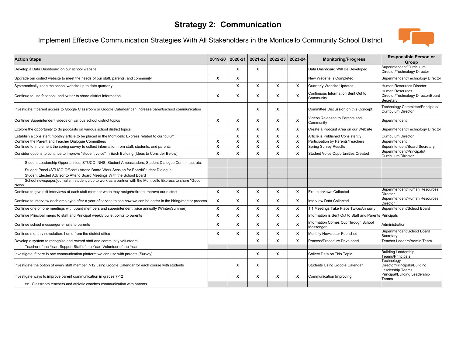#### **Strategy 2: Communication**

#### Implement Effective Communication Strategies With All Stakeholders in the Monticello Community School District



| <b>Action Steps</b>                                                                                                  |                           | 2019-20 2020-21 | 2021-22                   |                         | 2022-23 2023-24           | <b>Monitoring/Progress</b>                              | <b>Responsible Person or</b><br>Group                                     |
|----------------------------------------------------------------------------------------------------------------------|---------------------------|-----------------|---------------------------|-------------------------|---------------------------|---------------------------------------------------------|---------------------------------------------------------------------------|
| Develop a Data Dashboard on our school website                                                                       |                           | X               | X                         |                         |                           | Data Dashboard Will Be Developed                        | Superintendent/Curriculum<br>Director/Technology Director                 |
| Upgrade our district website to meet the needs of our staff, parents, and community                                  | $\boldsymbol{x}$          | X               |                           |                         |                           | New Website is Completed                                | Superintendent/Technology Director                                        |
| Systematically keep the school website up to date quarterly                                                          |                           | X               | X                         | X                       | X                         | Quarterly Website Updates                               | Human Resources Director                                                  |
| Continue to use facebook and twitter to share district information                                                   | X                         | x               | X                         | X                       | X                         | Continuous Information Sent Out to<br>Community         | <b>Human Resources</b><br>Director/Technology Director/Board<br>Secretary |
| Investigate if parent access to Google Classroom or Google Calendar can increase parent/school communication         |                           |                 | X                         | X                       |                           | Committee Discussion on this Concept                    | Technology Committee/Principals/<br><b>Curriculum Director</b>            |
| Continue Superintendent videos on various school district topics                                                     | X                         | x               | X                         | X                       | X                         | Videos Released to Parents and<br>Community             | Superintendent                                                            |
| Explore the opportunity to do podcasts on various school district topics                                             |                           | x               | X                         | x                       | X                         | Create a Podcast Area on our Website                    | Superintendent/Technology Director                                        |
| Establish a consistent monthly article to be placed in the Monticello Express related to curriculum                  |                           | x               | X                         | X                       | $\boldsymbol{\mathsf{x}}$ | Article is Published Consistently                       | <b>Curriculum Director</b>                                                |
| Continue the Parent and Teacher Dialoque Committees                                                                  | X                         | x               | X                         | X                       | X                         | Participation by Parents/Teachers                       | Superintendent                                                            |
| Continue to implement the spring survey to collect information from staff, students, and parents                     | $\boldsymbol{\mathsf{x}}$ | X               | $\boldsymbol{\mathsf{x}}$ | $\overline{\mathbf{x}}$ | $\boldsymbol{\mathsf{x}}$ | <b>Spring Survey Results</b>                            | Superintendent/Board Secretary                                            |
| Consider options to continue to improve "student voice" in Each Building (Ideas to Consider Below)                   | X                         | X               | X                         | X                       | X                         | Student Voice Opportunities Created                     | Superintendent/Principals/<br><b>Curriculum Director</b>                  |
| Student Leadership Opportunities, STUCO, NHS, Student Ambassadors, Student Dialogue Committee, etc.                  |                           |                 |                           |                         |                           |                                                         |                                                                           |
| Student Panel (STUCO Officers) Attend Board Work Session for Board/Student Dialogue                                  |                           |                 |                           |                         |                           |                                                         |                                                                           |
| Student Elected Advisor to Attend Board Meetings With the School Board                                               |                           |                 |                           |                         |                           |                                                         |                                                                           |
| School newspaper/journalism student club to work as a partner with the Monticello Express to share "Good<br>News"    |                           |                 |                           |                         |                           |                                                         |                                                                           |
| Continue to give exit interviews of each staff member when they resign/retire to improve our district                | X                         | X               | X                         | X                       | X                         | <b>Exit Interviews Collected</b>                        | Superintendent/Human Resources<br>Director                                |
| Continue to interview each employee after a year of service to see how we can be better in the hiring/mentor process | X                         | X               | X                         | x                       | X                         | Interview Data Collected                                | Superintendent/Human Resources<br>Director                                |
| Continue one on one meetings with board members and superintendent twice annually (Winter/Summer)                    | X                         | X               | X                         | X                       | X                         | 1:1 Meetings Take Place Twice/Annually                  | Superintendent/School Board                                               |
| Continue Principal memo to staff and Principal weekly bullet points to parents                                       | $\boldsymbol{\mathsf{x}}$ | X               | X                         | X                       | X                         | Information is Sent Out to Staff and Parents Principals |                                                                           |
| Continue school messenger emails to parents                                                                          | X                         | X               | X                         | X                       | X                         | Information Comes Out Through School<br>Messenger       | Administration                                                            |
| Continue monthly newsletters home from the district office                                                           | $\boldsymbol{x}$          | $\mathbf{x}$    | X                         | X                       | X                         | Monthly Newsletter Published                            | Superintendent/School Board<br>Secretarv                                  |
| Develop a system to recognize and reward staff and community volunteers                                              |                           |                 | $\boldsymbol{\mathsf{x}}$ | X                       | $\boldsymbol{\mathsf{x}}$ | Process/Procedure Developed                             | <b>Feacher Leaders/Admin Team</b>                                         |
| Teacher of the Year, Support Staff of the Year, Volunteer of the Year                                                |                           |                 |                           |                         |                           |                                                         |                                                                           |
| Investigate if there is one communication platform we can use with parents (Survey)                                  |                           |                 | X                         | X                       |                           | Collect Data on This Topic                              | <b>Building Leadership</b><br>Teams/Principals                            |
| nvestigate the option of every staff member 7-12 using Google Calendar for each course with students                 |                           | X               | X                         |                         |                           | Students Using Google Calendar                          | Technology<br>Director/Principals/Building<br>Leadership Teams            |
| Investigate ways to improve parent communication in grades 7-12                                                      |                           | X               | X                         | X                       | x                         | Communication Improving                                 | Principal/Building Leadership<br>Teams                                    |
| exClassroom teachers and athletic coaches communication with parents                                                 |                           |                 |                           |                         |                           |                                                         |                                                                           |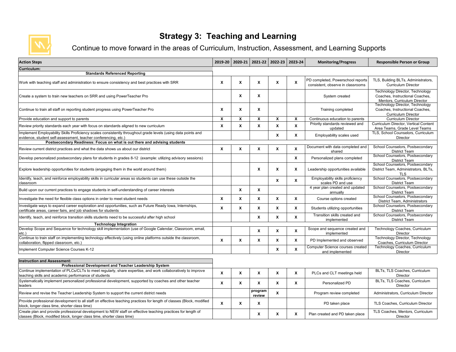

#### **Strategy 3: Teaching and Learning**

Continue to move forward in the areas of Curriculum, Instruction, Assessment, and Learning Supports

| <b>Action Steps</b>                                                                                                                                                                   | 2019-20 | 2020-21                   | 2021-22           | 2022-23            | 2023-24                   | <b>Monitoring/Progress</b>                                             | <b>Responsible Person or Group</b>                                                                        |
|---------------------------------------------------------------------------------------------------------------------------------------------------------------------------------------|---------|---------------------------|-------------------|--------------------|---------------------------|------------------------------------------------------------------------|-----------------------------------------------------------------------------------------------------------|
| Curriculum:                                                                                                                                                                           |         |                           |                   |                    |                           |                                                                        |                                                                                                           |
| <b>Standards Referenced Reporting</b>                                                                                                                                                 |         |                           |                   |                    |                           |                                                                        |                                                                                                           |
| Work with teaching staff and administration to ensure consistency and best practices with SRR                                                                                         | X       | $\boldsymbol{\mathsf{x}}$ | X                 | $\mathbf x$        | X                         | PD completed, Powerschool reports<br>consistent, observe in classrooms | TLS, Building BLTs, Administrators,<br><b>Curriculum Director</b>                                         |
| Create a system to train new teachers on SRR and using PowerTeacher Pro                                                                                                               |         | $\boldsymbol{x}$          | X                 |                    |                           | System created                                                         | <b>Technology Director, Technology</b><br>Coaches, Instructional Coaches.<br>Mentors, Curriculum Director |
| Continue to train all staff on reporting student progress using PowerTeacher Pro                                                                                                      | X       | $\boldsymbol{x}$          | X                 |                    |                           | Training completed                                                     | Technology Director, Technology<br>Coaches, Instructional Coaches,<br><b>Curriculum Director</b>          |
| Provide education and support to parents                                                                                                                                              | X       | $\boldsymbol{x}$          | X                 | X                  | $\pmb{\chi}$              | Continuous education to parents                                        | <b>Curriculum Director</b>                                                                                |
| Review priority standards each year with focus on standards aligned to new curriculum                                                                                                 | X       | $\boldsymbol{x}$          | X                 | X                  | $\boldsymbol{\mathsf{x}}$ | Priority standards reviewed and<br>updated                             | Curriculum Director, Vertical Content<br>Area Teams, Grade Level Teams                                    |
| mplement Employability Skills Proficiency scales consistently throughout grade levels (using data points and<br>evidence, student self-assessment, teacher conferencing, etc.)        |         |                           |                   | X                  | X                         | Employability scales used                                              | TLS, School Counselors, Curriculum<br>Director                                                            |
| Postsecondary Readiness: Focus on what is out there and advising students                                                                                                             |         |                           |                   |                    |                           |                                                                        |                                                                                                           |
| Review current district practices and what the data shows us about our district                                                                                                       | X       | $\boldsymbol{x}$          | X                 | X                  | $\boldsymbol{\mathsf{x}}$ | Document with data completed and<br>shared                             | School Counselors, Postsecondary<br>District Team                                                         |
| Develop personalized postsecondary plans for students in grades 8-12 (example: utilizing advisory sessions)                                                                           |         |                           |                   |                    | X                         | Personalized plans completed                                           | School Counselors, Postsecondary<br><b>District Team</b>                                                  |
| Explore leadership opportunities for students (engaging them in the world around them)                                                                                                |         |                           | $\mathbf{x}$      | X                  | X                         | Leadership opportunities available                                     | School Counselors, Postsecondary<br>District Team, Administrators, BLTs,<br><b>TLS</b>                    |
| dentify, teach, and reinforce employability skills in curricular areas so students can use these outside the<br>classroom                                                             |         |                           |                   | X                  | X                         | Employability skills proficiency<br>scales PD and use                  | School Counselors, Postsecondary<br><b>District Team</b>                                                  |
| Build upon our current practices to engage students in self-understanding of career interests                                                                                         |         | $\mathbf{x}$              | X                 |                    |                           | 4 year plan created and updated<br>annually                            | School Counselors, Postsecondary<br><b>District Team</b>                                                  |
| nvestigate the need for flexible class options in order to meet student needs                                                                                                         | X       | X                         | X                 | X                  | X                         | Course options created                                                 | School Counselors, Postsecondary<br>District Team, Administrators                                         |
| nvestigate ways to expand career exploration and opportunities, such as Future Ready Iowa, Internships,<br>certificate areas, career fairs, and job shadows for students              | X       | X                         | X                 | X                  | X                         | Students utilizing opportunities                                       | School Counselors, Postsecondary<br>District Team                                                         |
| Identify, teach, and reinforce transition skills students need to be successful after high school                                                                                     |         |                           | $\boldsymbol{x}$  | X                  | X                         | Transition skills created and<br>implemented                           | School Counselors, Postsecondary<br><b>District Team</b>                                                  |
| <b>Technology Integration</b>                                                                                                                                                         |         |                           |                   |                    |                           |                                                                        |                                                                                                           |
| Develop Scope and Sequence for technology skill implementation (use of Google Calendar, Classroom, email,<br>etc.)                                                                    |         |                           | x                 | X                  | X                         | Scope and sequence created and<br>implemented                          | Technology Coaches, Curriculum<br>Director                                                                |
| Continue to train staff on implementing technology effectively (using online platforms outside the classroom,<br>collaboration, flipped classroom, etc.)                              | X       | $\boldsymbol{x}$          | X                 | X                  | X                         | PD Implemented and observed                                            | <b>Technology Director, Technology</b><br>Coaches, Curriculum Director                                    |
| mplement Computer Science Courses K-12                                                                                                                                                |         |                           |                   | X                  | X                         | Computer Science courses created<br>and implemented                    | Technology Coaches, Curriculum<br>Director                                                                |
| <b>Instruction and Assessment:</b>                                                                                                                                                    |         |                           |                   |                    |                           |                                                                        |                                                                                                           |
| Professional Development and Teacher Leadership System                                                                                                                                |         |                           |                   |                    |                           |                                                                        |                                                                                                           |
| Continue implementation of PLCs/CLTs to meet regularly, share expertise, and work collaboratively to improve<br>eaching skills and academic performance of students                   | X       | X                         | X                 | $\pmb{\mathsf{x}}$ | X                         | PLCs and CLT meetings held                                             | BLTs. TLS Coaches. Curriculum<br>Director                                                                 |
| Systematically implement personalized professional development, supported by coaches and other teacher<br>eaders                                                                      | X       | $\boldsymbol{x}$          | X                 | X                  | X                         | Personalized PD                                                        | BLTs, TLS Coaches, Curriculum<br>Director                                                                 |
| Review and revise the Teacher Leadership System to support the current district needs                                                                                                 |         |                           | program<br>review | X                  |                           | Program review completed                                               | Administrators, Curriculum Director                                                                       |
| Provide professional development to all staff on effective teaching practices for length of classes (Block, modified<br>block, longer class time, shorter class time)                 | X       | $\boldsymbol{\mathsf{x}}$ | X                 |                    |                           | PD taken place                                                         | TLS Coaches, Curriculum Director                                                                          |
| Create plan and provide professional development to NEW staff on effective teaching practices for length of<br>classes (Block, modified block, longer class time, shorter class time) |         |                           | X                 | X                  | X                         | Plan created and PD taken place                                        | TLS Coaches, Mentors, Curriculum<br><b>Director</b>                                                       |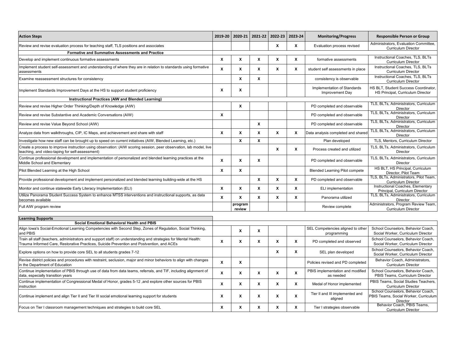| <b>Action Steps</b>                                                                                                                                                                                          | 2019-20            |                   | 2020-21 2021-22 | 2022-23 | 2023-24          | <b>Monitoring/Progress</b>                       | <b>Responsible Person or Group</b>                                                      |
|--------------------------------------------------------------------------------------------------------------------------------------------------------------------------------------------------------------|--------------------|-------------------|-----------------|---------|------------------|--------------------------------------------------|-----------------------------------------------------------------------------------------|
| Review and revise evaluation process for teaching staff, TLS positions and associates                                                                                                                        |                    |                   |                 | x       | X                | Evaluation process revised                       | Administrators, Evaluation Committee,<br><b>Curriculum Director</b>                     |
| <b>Formative and Summative Assessments and Practice</b>                                                                                                                                                      |                    |                   |                 |         |                  |                                                  |                                                                                         |
| Develop and implement continuous formative assessments                                                                                                                                                       | X                  | X                 | X               | X       | X                | formative assessments                            | Instructional Coaches, TLS, BLTs<br><b>Curriculum Director</b>                          |
| mplement student self-assessment and understanding of where they are in relation to standards using formative<br>assessments                                                                                 | $\mathbf{x}$       | X                 | X               | X       | X                | student self assessments in place                | Instructional Coaches, TLS, BLTs<br><b>Curriculum Director</b>                          |
| Examine reassessment structures for consistency                                                                                                                                                              |                    | X                 | X               |         |                  | consistency is observable                        | Instructional Coaches, TLS, BLTs<br><b>Curriculum Director</b>                          |
| mplement Standards Improvement Days at the HS to support student proficiency                                                                                                                                 | X                  | X                 |                 |         |                  | Implementation of Standards<br>Improvement Day   | HS BLT, Student Success Coordinator,<br>HS Principal, Curriculum Director               |
| Instructional Practices (AIW and Blended Learning)                                                                                                                                                           |                    |                   |                 |         |                  |                                                  |                                                                                         |
| Review and revise Higher Order Thinking/Depth of Knowledge (AIW)                                                                                                                                             |                    | X                 |                 |         |                  | PD completed and observable                      | TLS, BLTs, Administrators, Curriculum<br>Director                                       |
| Review and revise Substantive and Academic Conversations (AIW)                                                                                                                                               | X                  |                   |                 |         |                  | PD completed and observable                      | TLS, BLTs, Administrators, Curriculum<br>Director                                       |
| Review and revise Value Beyond School (AIW)                                                                                                                                                                  |                    |                   | X               |         |                  | PD completed and observable                      | TLS, BLTs, Administrators, Curriculum<br><b>Director</b>                                |
| Analyze data from walkthroughs, CIP, IC Maps, and achievement and share with staff                                                                                                                           | X                  | X                 | X               | X       | X                | Data analysis completed and shared               | TLS, BLTs, Administrators, Curriculum<br>Director                                       |
| Investigate how new staff can be brought up to speed on current initiatives (AIW, Blended Learning, etc.)                                                                                                    |                    | X                 | X               |         |                  | Plan developed                                   | TLS, Mentors, Curriculum Director                                                       |
| Create a process to improve instruction using observation: (AIW scoring session, peer observation, lab model, live<br>teaching, and video-taping for self-assessment)                                        |                    |                   |                 | X       | X                | Process created and utilized                     | TLS, BLTs, Administrators, Curriculum<br><b>Director</b>                                |
| Continue professional development and implementation of personalized and blended learning practices at the<br>Middle School and Elementary                                                                   | X                  | X                 | X               |         |                  | PD completed and observable                      | TLS, BLTs, Administrators, Curriculum<br><b>Director</b>                                |
| Pilot Blended Learning at the High School                                                                                                                                                                    | X                  | X                 |                 |         |                  | <b>Blended Learning Pilot compete</b>            | HS BLT, HS Principal, Curriculum<br>Director, Pilot Team                                |
| Provide professional development and implement personalized and blended learning building-wide at the HS                                                                                                     |                    |                   | $\mathbf{x}$    | X       | X                | PD completed and observable                      | TLS, BLTs, Administrators, Pilot Team,<br><b>Curriculum Director</b>                    |
| Monitor and continue statewide Early Literacy Implementation (ELI)                                                                                                                                           | x                  | $\boldsymbol{x}$  | X               | X       | X                | ELI implementation                               | Instructional Coaches, Elementary<br>Principal, Curriculum Director                     |
| Utilize Panorama Student Success System to enhance MTSS interventions and instructional supports, as data<br>becomes available                                                                               | X                  | $\mathsf{x}$      | X               | x       | X                | Panorama utilized                                | TLS, BLTs, Administrators, Curriculum<br>Director                                       |
| Full AIW program review                                                                                                                                                                                      |                    | program<br>review |                 |         |                  | Review complete                                  | Administrators, Program Review Team,<br><b>Curriculum Director</b>                      |
| <b>Learning Supports</b>                                                                                                                                                                                     |                    |                   |                 |         |                  |                                                  |                                                                                         |
| Social Emotional Behavioral Health and PBIS                                                                                                                                                                  |                    |                   |                 |         |                  |                                                  |                                                                                         |
| Align Iowa's Social-Emotional Learning Competencies with Second Step, Zones of Regulation, Social Thinking,<br>and PBIS                                                                                      |                    | X                 | X               |         |                  | SEL Competencies aligned to other<br>programming | School Counselors, Behavior Coach.<br>Social Worker, Curriculum Director                |
| Train all staff (teachers, administrators and support staff) on understanding and strategies for Mental Health:<br>Trauma Informed Care, Restorative Practices, Suicide Prevention and Postvention, and ACEs | X                  | X                 | $\mathbf{x}$    | X       | $\boldsymbol{x}$ | PD completed and observed                        | School Counselors, Behavior Coach,<br>Social Worker, Curriculum Director                |
| Explore options on how to provide core SEL to all students grades 7-12                                                                                                                                       |                    |                   |                 | X       | X                | SEL plan developed                               | School Counselors, Behavior Coach,<br>Social Worker, Curriculum Director                |
| Revise district policies and procedures with restraint, seclusion, major and minor behaviors to align with changes<br>in the Department of Education                                                         | X                  | X                 |                 |         |                  | Policies revised and PD completed                | Behavior Coach, Administrators,<br><b>Curriculum Director</b>                           |
| Continue implementation of PBIS through use of data from data teams, referrals, and TIF, including alignment of<br>data, especially transition years                                                         | X                  | X                 | X               | X       | X                | PBIS implementation and modified<br>as needed    | School Counselors, Behavior Coach,<br>PBIS Teams, Curriculum Director                   |
| Continue implementation of Congressional Medal of Honor, grades 5-12 ,and explore other sources for PBIS<br>instruction                                                                                      | $\pmb{\mathsf{x}}$ | X                 | X               | x       | X                | Medal of Honor implemented                       | PBIS Teams, Social Studies Teachers,<br><b>Curriculum Director</b>                      |
| Continue implement and align Tier II and Tier III social emotional learning support for students                                                                                                             | х                  | X                 | x               | X       | X                | Tier II and III implemented and<br>aligned       | School Counselors, Behavior Coach.<br>PBIS Teams, Social Worker, Curriculum<br>Director |
| Focus on Tier I classroom management techniques and strategies to build core SEL                                                                                                                             | X                  | X                 | X               | X       | X                | Tier I strategies observable                     | Behavior Coach, PBIS Teams,<br><b>Curriculum Director</b>                               |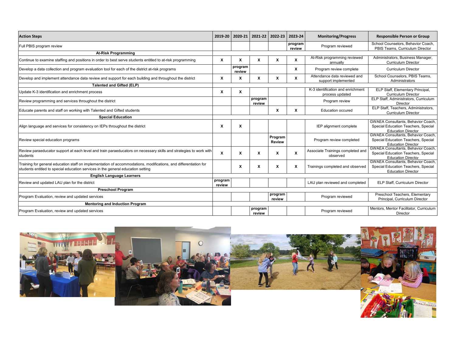| <b>Action Steps</b>                                                                                                                                                                                  | 2019-20           | 2020-21           | 2021-22           | 2022-23 2023-24           |                           | <b>Monitoring/Progress</b>                           | <b>Responsible Person or Group</b>                                                                            |
|------------------------------------------------------------------------------------------------------------------------------------------------------------------------------------------------------|-------------------|-------------------|-------------------|---------------------------|---------------------------|------------------------------------------------------|---------------------------------------------------------------------------------------------------------------|
| Full PBIS program review                                                                                                                                                                             |                   |                   |                   |                           | program<br>review         | Program reviewed                                     | School Counselors, Behavior Coach,<br>PBIS Teams, Curriculum Director                                         |
| <b>At-Risk Programming</b>                                                                                                                                                                           |                   |                   |                   |                           |                           |                                                      |                                                                                                               |
| Continue to examine staffing and positions in order to best serve students entitled to at-risk programming                                                                                           | X                 | X                 | x                 | $\boldsymbol{\mathsf{x}}$ | X                         | At-Risk programming reviewed<br>annually             | Administrators, Business Manager,<br><b>Curriculum Director</b>                                               |
| Develop a data collection and program evaluation tool for each of the district at-risk programs                                                                                                      |                   | program<br>review |                   |                           | x                         | Program review complete                              | <b>Curriculum Director</b>                                                                                    |
| Develop and implement attendance data review and support for each building and throughout the district                                                                                               | X                 | X                 | x                 | x                         | X                         | Attendance data reviewed and<br>support implemented  | School Counselors, PBIS Teams,<br>Administrators                                                              |
| <b>Talented and Gifted (ELP)</b>                                                                                                                                                                     |                   |                   |                   |                           |                           |                                                      |                                                                                                               |
| Update K-3 identification and enrichment process                                                                                                                                                     | X                 | X                 |                   |                           |                           | K-3 identification and enrichment<br>process updated | ELP Staff, Elementary Principal,<br><b>Curriculum Director</b>                                                |
| Review programming and services throughout the district                                                                                                                                              |                   |                   | program<br>review |                           |                           | Program review                                       | ELP Staff, Administrators, Curriculum<br>Director                                                             |
| Educate parents and staff on working with Talented and Gifted students                                                                                                                               |                   |                   |                   | X                         | X                         | <b>Education occured</b>                             | ELP Staff. Teachers. Administrators.<br><b>Curriculum Director</b>                                            |
| <b>Special Education</b>                                                                                                                                                                             |                   |                   |                   |                           |                           |                                                      |                                                                                                               |
| Align language and services for consistency on IEPs throughout the district                                                                                                                          | X                 | X                 |                   |                           |                           | IEP alignment complete                               | <b>GWAEA Consultants, Behavior Coach.</b><br>Special Education Teachers, Special<br><b>Education Director</b> |
| Review special education programs                                                                                                                                                                    |                   |                   |                   | Program<br><b>Review</b>  |                           | Program review completed                             | <b>GWAEA Consultants, Behavior Coach.</b><br>Special Education Teachers, Special<br><b>Education Director</b> |
| Review paraeducator support at each level and train paraeducators on necessary skills and strategies to work with<br>students                                                                        | X                 | X                 | X                 | X                         | $\boldsymbol{\mathsf{x}}$ | Associate Trainings completed and<br>observed        | <b>GWAEA Consultants, Behavior Coach,</b><br>Special Education Teachers, Special<br><b>Education Director</b> |
| Training for general education staff on implementation of accommodations, modifications, and differentiation for<br>students entitled to special education services in the general education setting |                   | X                 | x                 | x                         | x                         | Trainings completed and observed                     | <b>GWAEA Consultants, Behavior Coach.</b><br>Special Education Teachers, Special<br><b>Education Director</b> |
| <b>English Language Learners</b>                                                                                                                                                                     |                   |                   |                   |                           |                           |                                                      |                                                                                                               |
| Review and updated LAU plan for the district                                                                                                                                                         | program<br>review |                   |                   |                           |                           | LAU plan reviewed and completed                      | ELP Staff, Curriculum Director                                                                                |
| <b>Preschool Program</b>                                                                                                                                                                             |                   |                   |                   |                           |                           |                                                      |                                                                                                               |
| Program Evaluation, review and updated services                                                                                                                                                      |                   |                   |                   | program<br>review         |                           | Program reviewed                                     | Preschool Teachers, Elementary<br>Principal, Curriculum Director                                              |
| <b>Mentoring and Induction Program</b>                                                                                                                                                               |                   |                   |                   |                           |                           |                                                      |                                                                                                               |
| Program Evaluation, review and updated services                                                                                                                                                      |                   |                   | program<br>review |                           |                           | Program reviewed                                     | Mentors, Mentor Facilitator, Curriculum<br>Director                                                           |

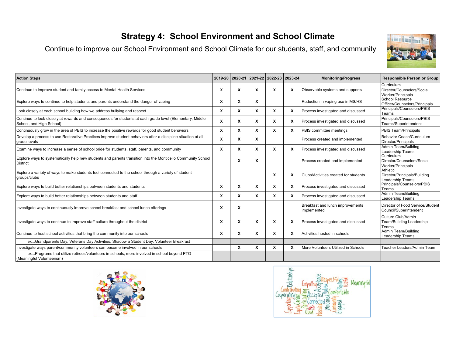#### **Strategy 4: School Environment and School Climate**

Continue to improve our School Environment and School Climate for our students, staff, and community



| <b>Action Steps</b>                                                                                                                   |   |                           | 2019-20 2020-21 2021-22 2022-23 2023-24 |   |   | <b>Monitoring/Progress</b>                      | <b>Responsible Person or Group</b>                                   |
|---------------------------------------------------------------------------------------------------------------------------------------|---|---------------------------|-----------------------------------------|---|---|-------------------------------------------------|----------------------------------------------------------------------|
| Continue to improve student and family access to Mental Health Services                                                               | X | Х                         | X                                       | X | X | Observable systems and supports                 | Curriculum<br>Director/Counselors/Social<br><b>Worker/Principals</b> |
| Explore ways to continue to help students and parents understand the danger of vaping                                                 | X | X                         | X                                       |   |   | Reduction in vaping use in MS/HS                | <b>School Resource</b><br>Officer/Counselors/Principals              |
| Look closely at each school building how we address bullying and respect                                                              | X | X                         | X                                       | X | X | Process investigated and discussed              | Principals/Counselors/PBIS<br>Teams                                  |
| Continue to look closely at rewards and consequences for students at each grade level (Elementary, Middle<br>School, and High School) | X | $\boldsymbol{\mathsf{x}}$ | X                                       | X | X | Process investigated and discussed              | Principals/Counselors/PBIS<br>Teams/Superintendent                   |
| Continuously grow in the area of PBIS to increase the positive rewards for good student behaviors                                     | X | X                         | x                                       | X | х | PBIS committee meetings                         | PBIS Team/Principals                                                 |
| Develop a process to use Restorative Practices improve student behaviors after a discipline situation at all<br>grade levels          | X | X                         | X                                       |   |   | Process created and implemented                 | Behavior Coach/Curriculum<br>Director/Principals                     |
| Examine ways to increase a sense of school pride for students, staff, parents, and community                                          | X | X                         | X                                       | X | x | Process investigated and discussed              | Admin Team/Building<br>Leadership Teams                              |
| Explore ways to systematically help new students and parents transition into the Monticello Community School<br>District              |   | x                         | X                                       |   |   | Process created and implemented                 | Curriculum<br>Director/Counselors/Social<br><b>Worker/Principals</b> |
| Explore a variety of ways to make students feel connected to the school through a variety of student<br>groups/clubs                  |   |                           |                                         | x | X | Clubs/Activities created for students           | Athletic<br>Director/Principals/Building<br>Leadership Teams         |
| Explore ways to build better relationships between students and students                                                              | X | X                         | х                                       | X | x | Process investigated and discussed              | Principals/Counselors/PBIS<br>Teams                                  |
| Explore ways to build better relationships between students and staff                                                                 | X | X                         | X                                       | X | x | Process investigated and discussed              | <b>Admin Team/Building</b><br>Leadership Teams                       |
| Investigate ways to continuously improve school breakfast and school lunch offerings                                                  | X | Х                         |                                         |   |   | Breakfast and lunch improvements<br>implemented | Director of Food Service/Student<br>Council/Superintendent           |
| Investigate ways to continue to improve staff culture throughout the district                                                         | X | X                         | X                                       | X | x | Process investigated and discussed              | Culture Club/Admin<br>Team/Building Leadership<br>⊺eams              |
| Continue to host school activities that bring the community into our schools                                                          | X | X                         | X                                       | X | X | Activities hosted in schools                    | <b>Admin Team/Building</b><br>Leadership Teams                       |
| exGrandparents Day, Veterans Day Activities, Shadow a Student Day, Volunteer Breakfast                                                |   |                           |                                         |   |   |                                                 |                                                                      |
| Investigate ways parent/community volunteers can become involved in our schools                                                       |   | X                         | x                                       | X |   | More Volunteers Utilized in Schools             | Teacher Leaders/Admin Team                                           |
| exPrograms that utilize retirees/volunteers in schools, more involved in school beyond PTO<br>(Meaningful Volunteerism)               |   |                           |                                         |   |   |                                                 |                                                                      |